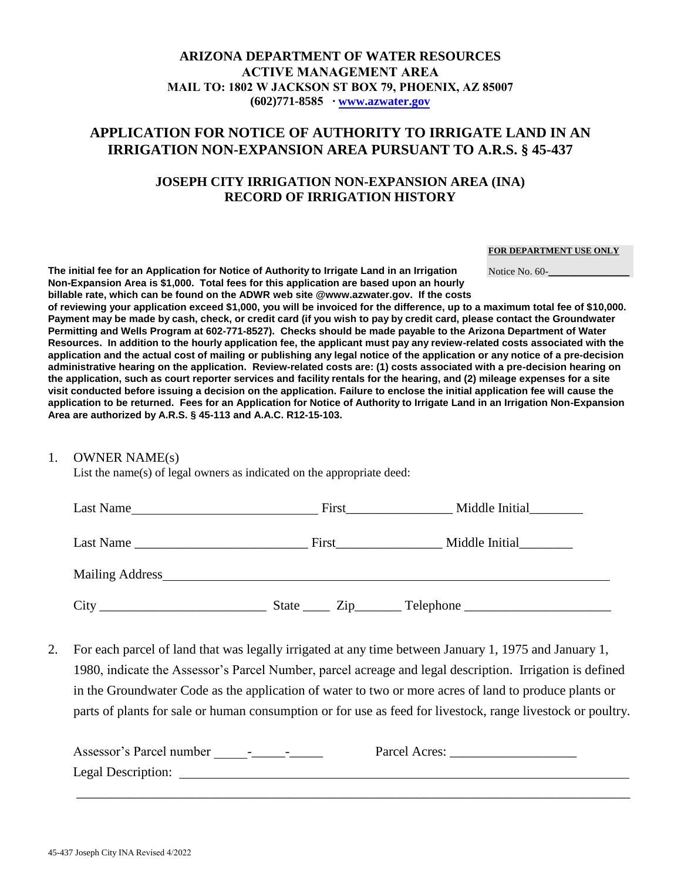### **ARIZONA DEPARTMENT OF WATER RESOURCES ACTIVE MANAGEMENT AREA MAIL TO: 1802 W JACKSON ST BOX 79, PHOENIX, AZ 85007 (602)771-8585 ∙ [www.azwater.gov](http://www.azwater.gov/)**

# **APPLICATION FOR NOTICE OF AUTHORITY TO IRRIGATE LAND IN AN IRRIGATION NON-EXPANSION AREA PURSUANT TO A.R.S. § 45-437**

## **JOSEPH CITY IRRIGATION NON-EXPANSION AREA (INA) RECORD OF IRRIGATION HISTORY**

#### **FOR DEPARTMENT USE ONLY**

Notice No. 60-

**The initial fee for an Application for Notice of Authority to Irrigate Land in an Irrigation Non-Expansion Area is \$1,000. Total fees for this application are based upon an hourly billable rate, which can be found on the ADWR web site @www.azwater.gov. If the costs** 

**of reviewing your application exceed \$1,000, you will be invoiced for the difference, up to a maximum total fee of \$10,000. Payment may be made by cash, check, or credit card (if you wish to pay by credit card, please contact the Groundwater Permitting and Wells Program at 602-771-8527). Checks should be made payable to the Arizona Department of Water Resources. In addition to the hourly application fee, the applicant must pay any review-related costs associated with the application and the actual cost of mailing or publishing any legal notice of the application or any notice of a pre-decision administrative hearing on the application. Review-related costs are: (1) costs associated with a pre-decision hearing on the application, such as court reporter services and facility rentals for the hearing, and (2) mileage expenses for a site visit conducted before issuing a decision on the application. Failure to enclose the initial application fee will cause the application to be returned. Fees for an Application for Notice of Authority to Irrigate Land in an Irrigation Non-Expansion Area are authorized by A.R.S. § 45-113 and A.A.C. R12-15-103.**

### 1. OWNER NAME(s)

List the name(s) of legal owners as indicated on the appropriate deed:

| Last Name                                                 | First                                                                                                                                                                                                                          | Middle Initial |  |
|-----------------------------------------------------------|--------------------------------------------------------------------------------------------------------------------------------------------------------------------------------------------------------------------------------|----------------|--|
| Last Name                                                 | <b>First</b>                                                                                                                                                                                                                   | Middle Initial |  |
|                                                           | Mailing Address and the mail of the mail of the mail of the mail of the mail of the mail of the mail of the mail of the mail of the mail of the mail of the mail of the mail of the mail of the mail of the mail of the mail o |                |  |
| City<br><u> 1989 - Johann Barbara, martxa alemaniar a</u> | State<br>$\mathsf{Zip}\_$                                                                                                                                                                                                      |                |  |

2. For each parcel of land that was legally irrigated at any time between January 1, 1975 and January 1, 1980, indicate the Assessor's Parcel Number, parcel acreage and legal description. Irrigation is defined in the Groundwater Code as the application of water to two or more acres of land to produce plants or parts of plants for sale or human consumption or for use as feed for livestock, range livestock or poultry.

| Assessor's Parcel number<br>$\sim$<br>$\overline{\phantom{0}}$ | Parcel Acres: |
|----------------------------------------------------------------|---------------|
| Legal Description:                                             |               |
|                                                                |               |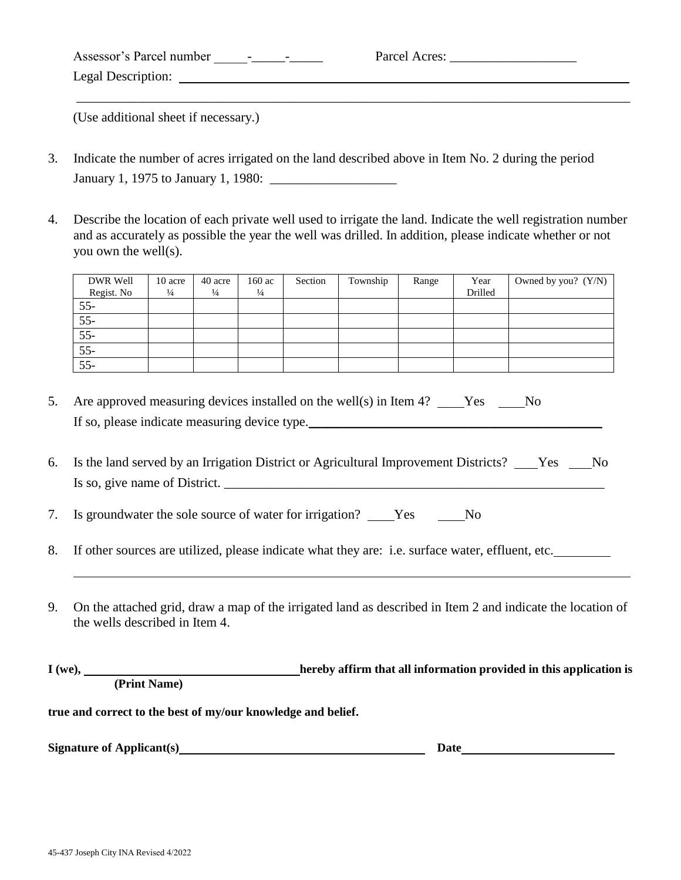| Assessor's Parcel number<br>$\sim$<br>$\overline{\phantom{0}}$ | Parcel Acres: |
|----------------------------------------------------------------|---------------|
| Legal Description:                                             |               |
|                                                                |               |

(Use additional sheet if necessary.)

- 3. Indicate the number of acres irrigated on the land described above in Item No. 2 during the period January 1, 1975 to January 1, 1980: \_\_\_\_\_\_\_\_\_\_\_\_\_\_\_\_\_\_\_
- 4. Describe the location of each private well used to irrigate the land. Indicate the well registration number and as accurately as possible the year the well was drilled. In addition, please indicate whether or not you own the well(s).

| DWR Well   | 10 acre       | 40 acre       | 160 ac        | Section | Township | Range | Year    | Owned by you? $(Y/N)$ |
|------------|---------------|---------------|---------------|---------|----------|-------|---------|-----------------------|
| Regist. No | $\frac{1}{4}$ | $\frac{1}{4}$ | $\frac{1}{4}$ |         |          |       | Drilled |                       |
| $55 -$     |               |               |               |         |          |       |         |                       |
| $55 -$     |               |               |               |         |          |       |         |                       |
| $55 -$     |               |               |               |         |          |       |         |                       |
| $55 -$     |               |               |               |         |          |       |         |                       |
| $55 -$     |               |               |               |         |          |       |         |                       |

- 5. Are approved measuring devices installed on the well(s) in Item 4? Yes No If so, please indicate measuring device type.
- 6. Is the land served by an Irrigation District or Agricultural Improvement Districts? \_\_\_Yes \_\_\_No Is so, give name of District.  $\frac{1}{\sqrt{2\pi}}$

7. Is groundwater the sole source of water for irrigation? Yes No

- 8. If other sources are utilized, please indicate what they are: i.e. surface water, effluent, etc.
- 9. On the attached grid, draw a map of the irrigated land as described in Item 2 and indicate the location of the wells described in Item 4.

**I** (we), **hereby affirm that all information provided in this application is (Print Name)** 

**true and correct to the best of my/our knowledge and belief.** 

**Signature of Applicant(s)** Date